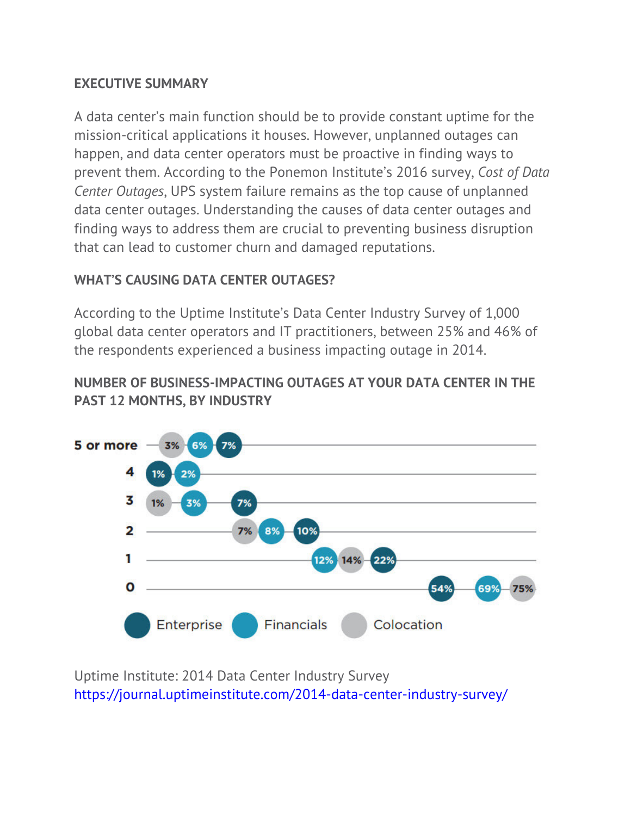### **EXECUTIVE SUMMARY**

A data center's main function should be to provide constant uptime for the mission-critical applications it houses. However, unplanned outages can happen, and data center operators must be proactive in finding ways to prevent them. According to the Ponemon Institute's 2016 survey, *Cost of Data Center Outages*, UPS system failure remains as the top cause of unplanned data center outages. Understanding the causes of data center outages and finding ways to address them are crucial to preventing business disruption that can lead to customer churn and damaged reputations.

# **WHAT'S CAUSING DATA CENTER OUTAGES?**

According to the Uptime Institute's Data Center Industry Survey of 1,000 global data center operators and IT practitioners, between 25% and 46% of the respondents experienced a business impacting outage in 2014.

# **NUMBER OF BUSINESS-IMPACTING OUTAGES AT YOUR DATA CENTER IN THE PAST 12 MONTHS, BY INDUSTRY**



Uptime Institute: 2014 Data Center Industry Survey https://journal.uptimeinstitute.com/2014-data-center-industry-survey/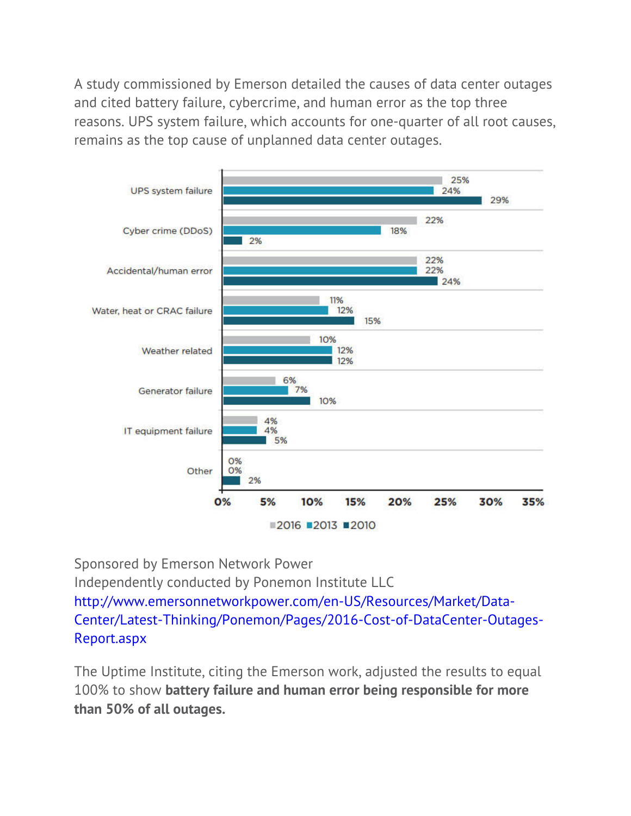A study commissioned by Emerson detailed the causes of data center outages and cited battery failure, cybercrime, and human error as the top three reasons. UPS system failure, which accounts for one-quarter of all root causes, remains as the top cause of unplanned data center outages.



Sponsored by Emerson Network Power Independently conducted by Ponemon Institute LLC http://www.emersonnetworkpower.com/en-US/Resources/Market/Data-Center/Latest-Thinking/Ponemon/Pages/2016-Cost-of-DataCenter-Outages-Report.aspx

The Uptime Institute, citing the Emerson work, adjusted the results to equal 100% to show **battery failure and human error being responsible for more than 50% of all outages.**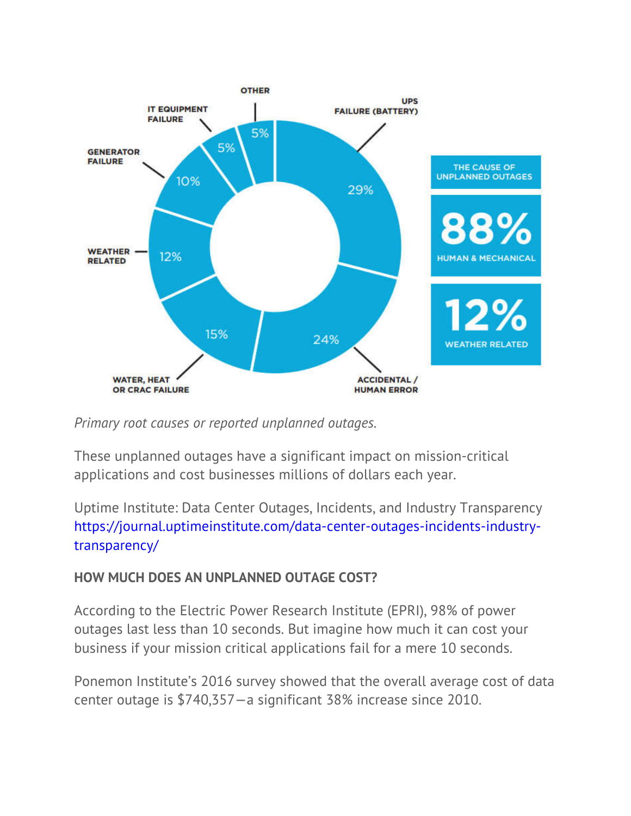

*Primary root causes or reported unplanned outages.*

These unplanned outages have a significant impact on mission-critical applications and cost businesses millions of dollars each year.

Uptime Institute: Data Center Outages, Incidents, and Industry Transparency https://journal.uptimeinstitute.com/data-center-outages-incidents-industrytransparency/

# **HOW MUCH DOES AN UNPLANNED OUTAGE COST?**

According to the Electric Power Research Institute (EPRI), 98% of power outages last less than 10 seconds. But imagine how much it can cost your business if your mission critical applications fail for a mere 10 seconds.

Ponemon Institute's 2016 survey showed that the overall average cost of data center outage is \$740,357—a significant 38% increase since 2010.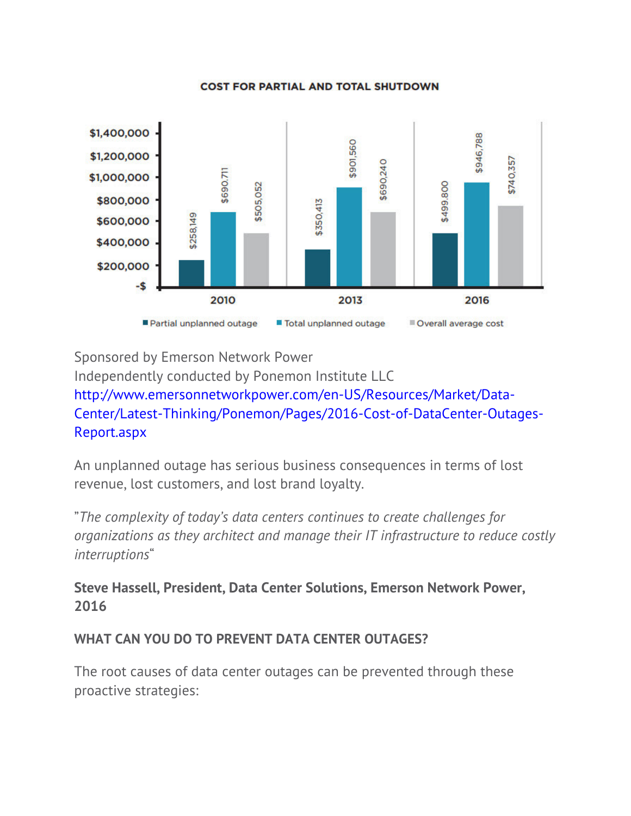#### **COST FOR PARTIAL AND TOTAL SHUTDOWN**



Sponsored by Emerson Network Power

Independently conducted by Ponemon Institute LLC http://www.emersonnetworkpower.com/en-US/Resources/Market/Data-Center/Latest-Thinking/Ponemon/Pages/2016-Cost-of-DataCenter-Outages-Report.aspx

An unplanned outage has serious business consequences in terms of lost revenue, lost customers, and lost brand loyalty.

"*The complexity of today's data centers continues to create challenges for organizations as they architect and manage their IT infrastructure to reduce costly interruptions*"

**Steve Hassell, President, Data Center Solutions, Emerson Network Power, 2016**

### **WHAT CAN YOU DO TO PREVENT DATA CENTER OUTAGES?**

The root causes of data center outages can be prevented through these proactive strategies: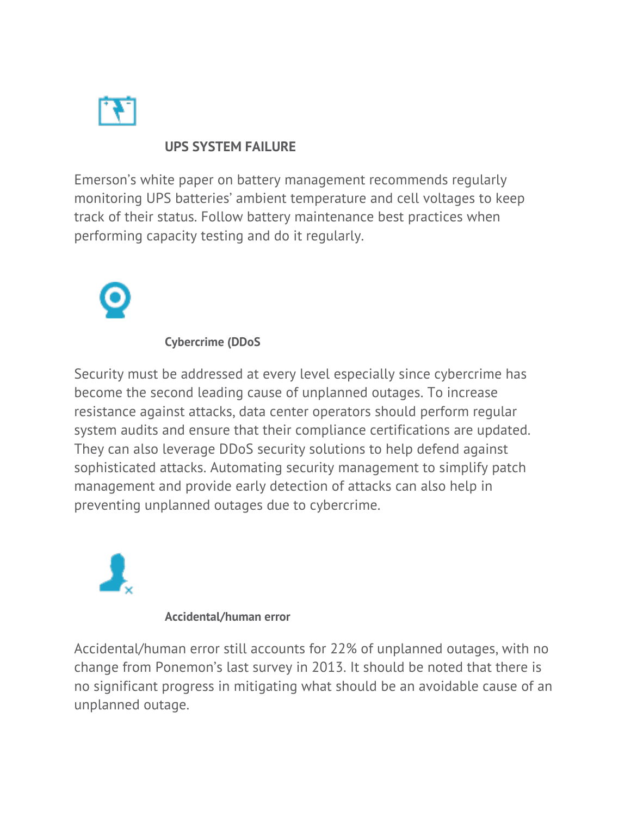

### **UPS SYSTEM FAILURE**

Emerson's white paper on battery management recommends regularly monitoring UPS batteries' ambient temperature and cell voltages to keep track of their status. Follow battery maintenance best practices when performing capacity testing and do it regularly.



### **Cybercrime (DDoS**

Security must be addressed at every level especially since cybercrime has become the second leading cause of unplanned outages. To increase resistance against attacks, data center operators should perform regular system audits and ensure that their compliance certifications are updated. They can also leverage DDoS security solutions to help defend against sophisticated attacks. Automating security management to simplify patch management and provide early detection of attacks can also help in preventing unplanned outages due to cybercrime.



#### **Accidental/human error**

Accidental/human error still accounts for 22% of unplanned outages, with no change from Ponemon's last survey in 2013. It should be noted that there is no significant progress in mitigating what should be an avoidable cause of an unplanned outage.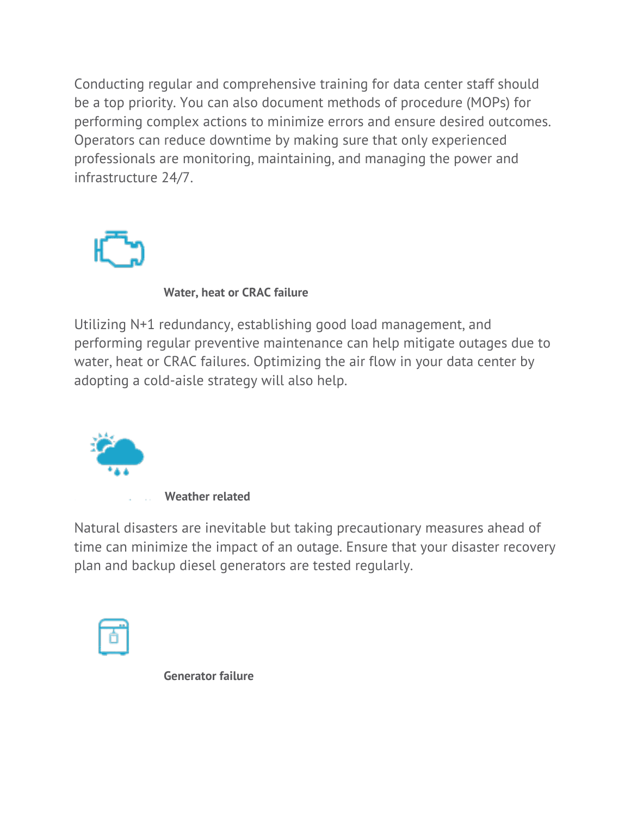Conducting regular and comprehensive training for data center staff should be a top priority. You can also document methods of procedure (MOPs) for performing complex actions to minimize errors and ensure desired outcomes. Operators can reduce downtime by making sure that only experienced professionals are monitoring, maintaining, and managing the power and infrastructure 24/7.



**Water, heat or CRAC failure**

Utilizing N+1 redundancy, establishing good load management, and performing regular preventive maintenance can help mitigate outages due to water, heat or CRAC failures. Optimizing the air flow in your data center by adopting a cold-aisle strategy will also help.



Natural disasters are inevitable but taking precautionary measures ahead of time can minimize the impact of an outage. Ensure that your disaster recovery plan and backup diesel generators are tested regularly.



**Generator failure**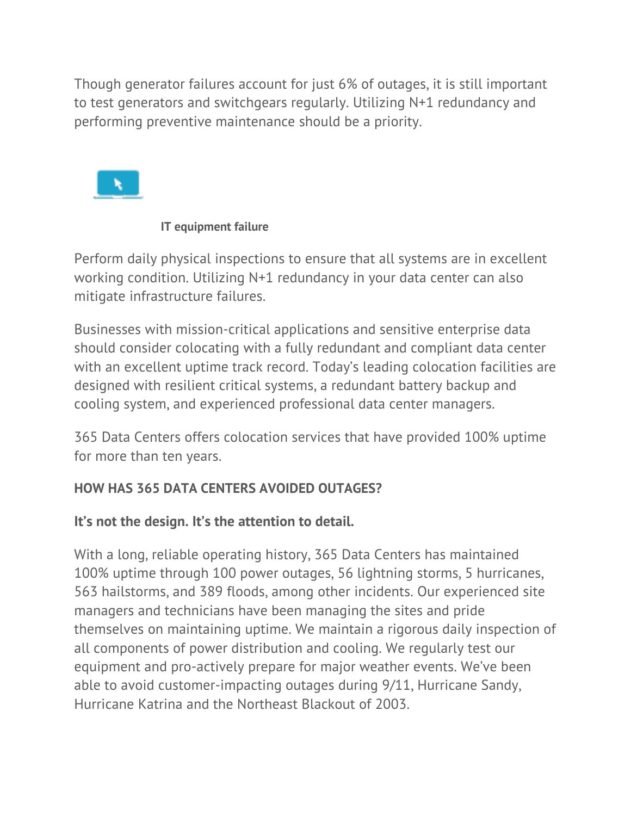Though generator failures account for just 6% of outages, it is still important to test generators and switchgears regularly. Utilizing N+1 redundancy and performing preventive maintenance should be a priority.



### **IT equipment failure**

Perform daily physical inspections to ensure that all systems are in excellent working condition. Utilizing N+1 redundancy in your data center can also mitigate infrastructure failures.

Businesses with mission-critical applications and sensitive enterprise data should consider colocating with a fully redundant and compliant data center with an excellent uptime track record. Today's leading colocation facilities are designed with resilient critical systems, a redundant battery backup and cooling system, and experienced professional data center managers.

365 Data Centers offers colocation services that have provided 100% uptime for more than ten years.

# **HOW HAS 365 DATA CENTERS AVOIDED OUTAGES?**

# **It's not the design. It's the attention to detail.**

With a long, reliable operating history, 365 Data Centers has maintained 100% uptime through 100 power outages, 56 lightning storms, 5 hurricanes, 563 hailstorms, and 389 floods, among other incidents. Our experienced site managers and technicians have been managing the sites and pride themselves on maintaining uptime. We maintain a rigorous daily inspection of all components of power distribution and cooling. We regularly test our equipment and pro-actively prepare for major weather events. We've been able to avoid customer-impacting outages during 9/11, Hurricane Sandy, Hurricane Katrina and the Northeast Blackout of 2003.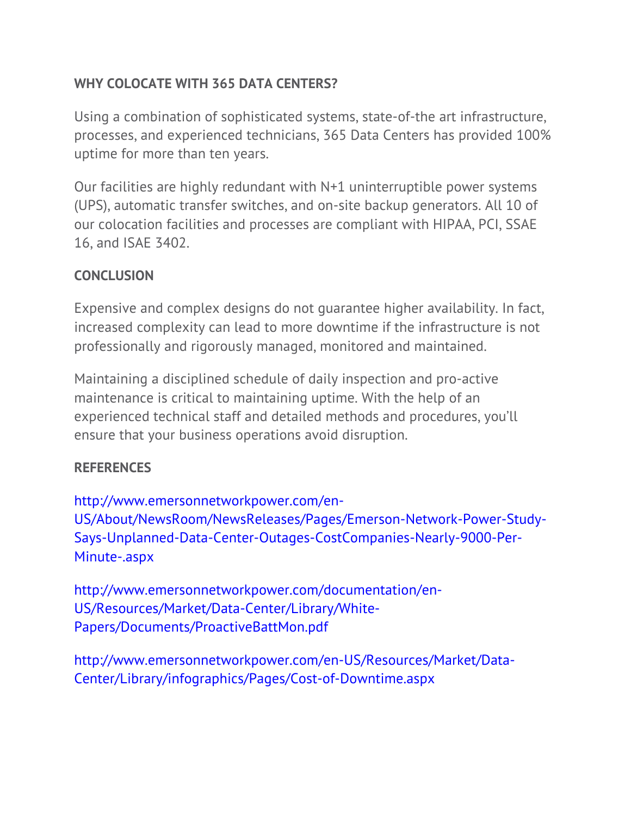# **WHY COLOCATE WITH 365 DATA CENTERS?**

Using a combination of sophisticated systems, state-of-the art infrastructure, processes, and experienced technicians, 365 Data Centers has provided 100% uptime for more than ten years.

Our facilities are highly redundant with N+1 uninterruptible power systems (UPS), automatic transfer switches, and on-site backup generators. All 10 of our colocation facilities and processes are compliant with HIPAA, PCI, SSAE 16, and ISAE 3402.

# **CONCLUSION**

Expensive and complex designs do not guarantee higher availability. In fact, increased complexity can lead to more downtime if the infrastructure is not professionally and rigorously managed, monitored and maintained.

Maintaining a disciplined schedule of daily inspection and pro-active maintenance is critical to maintaining uptime. With the help of an experienced technical staff and detailed methods and procedures, you'll ensure that your business operations avoid disruption.

# **REFERENCES**

http://www.emersonnetworkpower.com/en-US/About/NewsRoom/NewsReleases/Pages/Emerson-Network-Power-Study-Says-Unplanned-Data-Center-Outages-CostCompanies-Nearly-9000-Per-Minute-.aspx

http://www.emersonnetworkpower.com/documentation/en-US/Resources/Market/Data-Center/Library/White-Papers/Documents/ProactiveBattMon.pdf

http://www.emersonnetworkpower.com/en-US/Resources/Market/Data-Center/Library/infographics/Pages/Cost-of-Downtime.aspx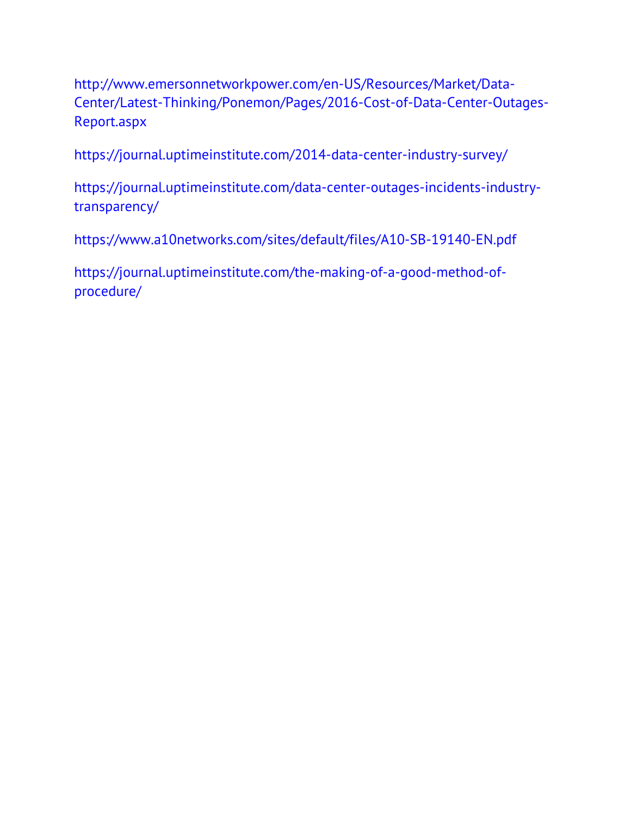http://www.emersonnetworkpower.com/en-US/Resources/Market/Data-Center/Latest-Thinking/Ponemon/Pages/2016-Cost-of-Data-Center-Outages-Report.aspx

https://journal.uptimeinstitute.com/2014-data-center-industry-survey/

https://journal.uptimeinstitute.com/data-center-outages-incidents-industrytransparency/

https://www.a10networks.com/sites/default/files/A10-SB-19140-EN.pdf

https://journal.uptimeinstitute.com/the-making-of-a-good-method-ofprocedure/